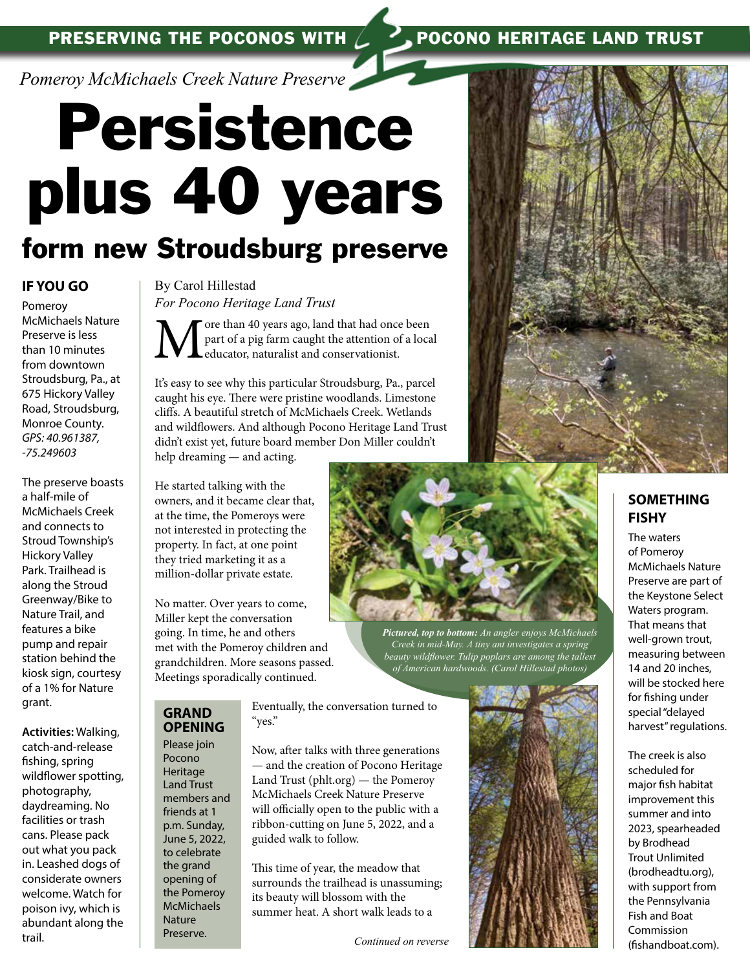*Pomeroy McMichaels Creek Nature Preserve* 

# Persistence plus 40 years

# form new Stroudsburg preserve

## **IF YOU GO**

Pomeroy McMichaels Nature Preserve is less than 10 minutes from downtown Stroudsburg, Pa., at 675 Hickory Valley Road, Stroudsburg, Monroe County. *GPS: 40.961387, -75.249603*

The preserve boasts a half-mile of McMichaels Creek and connects to Stroud Township's Hickory Valley Park. Trailhead is along the Stroud Greenway/Bike to Nature Trail, and features a bike pump and repair station behind the kiosk sign, courtesy of a 1% for Nature grant.

**Activities:** Walking, catch-and-release fishing, spring wildflower spotting, photography, daydreaming. No facilities or trash cans. Please pack out what you pack in. Leashed dogs of considerate owners welcome. Watch for poison ivy, which is abundant along the trail.

By Carol Hillestad *For Pocono Heritage Land Trust*

More than 40 years ago, land that had once been<br>part of a pig farm caught the attention of a loca<br>deducator, naturalist and conservationist. part of a pig farm caught the attention of a local educator, naturalist and conservationist.

It's easy to see why this particular Stroudsburg, Pa., parcel caught his eye. There were pristine woodlands. Limestone cliffs. A beautiful stretch of McMichaels Creek. Wetlands and wildflowers. And although Pocono Heritage Land Trust didn't exist yet, future board member Don Miller couldn't help dreaming — and acting.

He started talking with the owners, and it became clear that, at the time, the Pomeroys were not interested in protecting the property. In fact, at one point they tried marketing it as a million-dollar private estate.

No matter. Over years to come, Miller kept the conversation going. In time, he and others met with the Pomeroy children and grandchildren. More seasons passed. Meetings sporadically continued.

*Pictured, top to bottom: An angler enjoys McMichaels Creek in mid-May. A tiny ant investigates a spring beauty wildflower. Tulip poplars are among the tallest of American hardwoods. (Carol Hillestad photos)*

## **GRAND OPENING**

Please join Pocono Heritage Land Trust members and friends at 1 p.m. Sunday, June 5, 2022, to celebrate the grand opening of the Pomeroy **McMichaels** Nature Preserve.

Eventually, the conversation turned to "yes."

Now, after talks with three generations — and the creation of Pocono Heritage Land Trust (phlt.org) — the Pomeroy McMichaels Creek Nature Preserve will officially open to the public with a ribbon-cutting on June 5, 2022, and a guided walk to follow.

This time of year, the meadow that surrounds the trailhead is unassuming; its beauty will blossom with the summer heat. A short walk leads to a

*Continued on reverse*



## **SOMETHING FISHY**

The waters of Pomeroy McMichaels Nature Preserve are part of the Keystone Select Waters program. That means that well-grown trout, measuring between 14 and 20 inches, will be stocked here for fishing under special "delayed harvest" regulations.

The creek is also scheduled for major fish habitat improvement this summer and into 2023, spearheaded by Brodhead Trout Unlimited (brodheadtu.org), with support from the Pennsylvania Fish and Boat Commission (fishandboat.com).